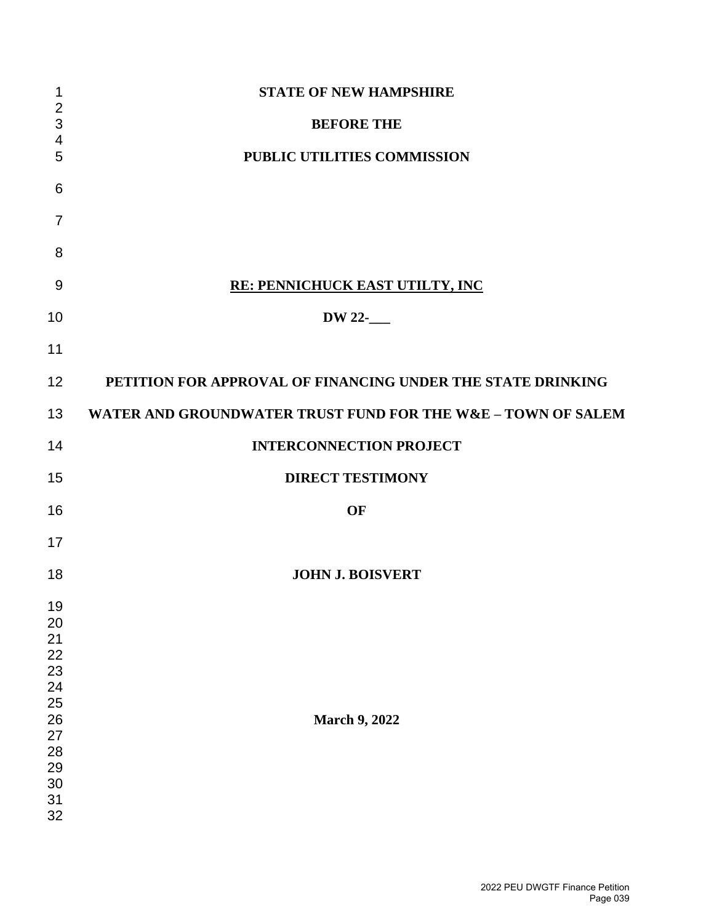| 1                                                                                | <b>STATE OF NEW HAMPSHIRE</b>                                |
|----------------------------------------------------------------------------------|--------------------------------------------------------------|
| $\overline{\mathbf{c}}$<br>3                                                     | <b>BEFORE THE</b>                                            |
| 4<br>5                                                                           | PUBLIC UTILITIES COMMISSION                                  |
| 6                                                                                |                                                              |
| $\overline{7}$                                                                   |                                                              |
| 8                                                                                |                                                              |
| 9                                                                                | <b>RE: PENNICHUCK EAST UTILTY, INC</b>                       |
| 10                                                                               | DW 22-                                                       |
| 11                                                                               |                                                              |
| 12                                                                               | PETITION FOR APPROVAL OF FINANCING UNDER THE STATE DRINKING  |
| 13                                                                               | WATER AND GROUNDWATER TRUST FUND FOR THE W&E - TOWN OF SALEM |
| 14                                                                               | <b>INTERCONNECTION PROJECT</b>                               |
| 15                                                                               | <b>DIRECT TESTIMONY</b>                                      |
| 16                                                                               | OF                                                           |
| 17                                                                               |                                                              |
| 18                                                                               | <b>JOHN J. BOISVERT</b>                                      |
| 19<br>20<br>21<br>22<br>23<br>24<br>25<br>26<br>27<br>28<br>29<br>30<br>31<br>32 | <b>March 9, 2022</b>                                         |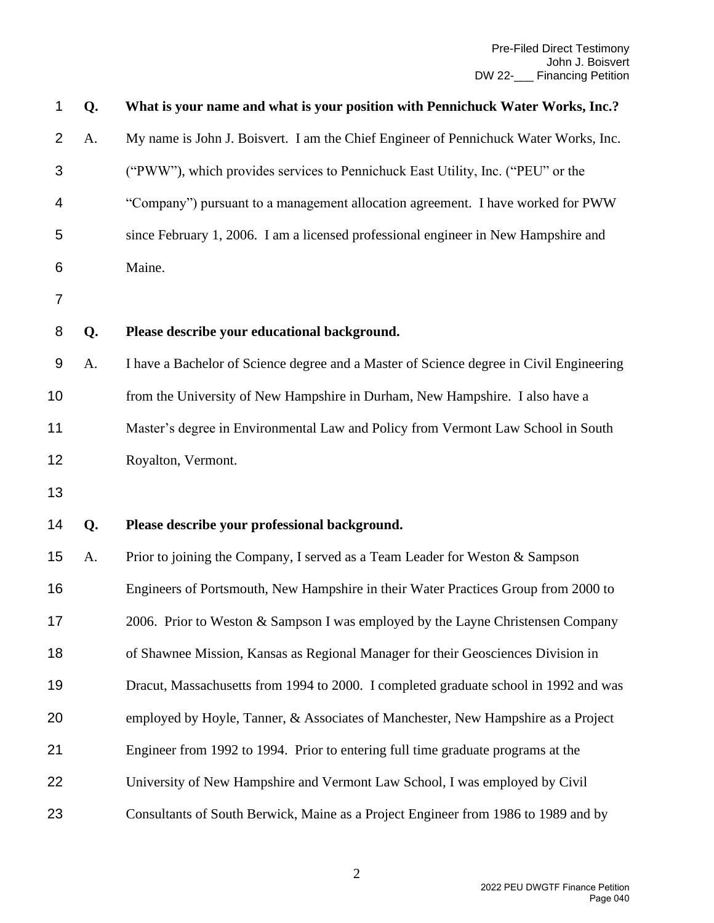| 1  | Q. | What is your name and what is your position with Pennichuck Water Works, Inc.?          |
|----|----|-----------------------------------------------------------------------------------------|
| 2  | A. | My name is John J. Boisvert. I am the Chief Engineer of Pennichuck Water Works, Inc.    |
| 3  |    | ("PWW"), which provides services to Pennichuck East Utility, Inc. ("PEU" or the         |
| 4  |    | "Company") pursuant to a management allocation agreement. I have worked for PWW         |
| 5  |    | since February 1, 2006. I am a licensed professional engineer in New Hampshire and      |
| 6  |    | Maine.                                                                                  |
| 7  |    |                                                                                         |
| 8  | Q. | Please describe your educational background.                                            |
| 9  | A. | I have a Bachelor of Science degree and a Master of Science degree in Civil Engineering |
| 10 |    | from the University of New Hampshire in Durham, New Hampshire. I also have a            |
| 11 |    | Master's degree in Environmental Law and Policy from Vermont Law School in South        |
| 12 |    | Royalton, Vermont.                                                                      |
| 13 |    |                                                                                         |
| 14 | Q. | Please describe your professional background.                                           |
| 15 | A. | Prior to joining the Company, I served as a Team Leader for Weston & Sampson            |
| 16 |    | Engineers of Portsmouth, New Hampshire in their Water Practices Group from 2000 to      |
| 17 |    | 2006. Prior to Weston & Sampson I was employed by the Layne Christensen Company         |
| 18 |    | of Shawnee Mission, Kansas as Regional Manager for their Geosciences Division in        |
| 19 |    | Dracut, Massachusetts from 1994 to 2000. I completed graduate school in 1992 and was    |
| 20 |    | employed by Hoyle, Tanner, & Associates of Manchester, New Hampshire as a Project       |
| 21 |    | Engineer from 1992 to 1994. Prior to entering full time graduate programs at the        |
| 22 |    | University of New Hampshire and Vermont Law School, I was employed by Civil             |
| 23 |    | Consultants of South Berwick, Maine as a Project Engineer from 1986 to 1989 and by      |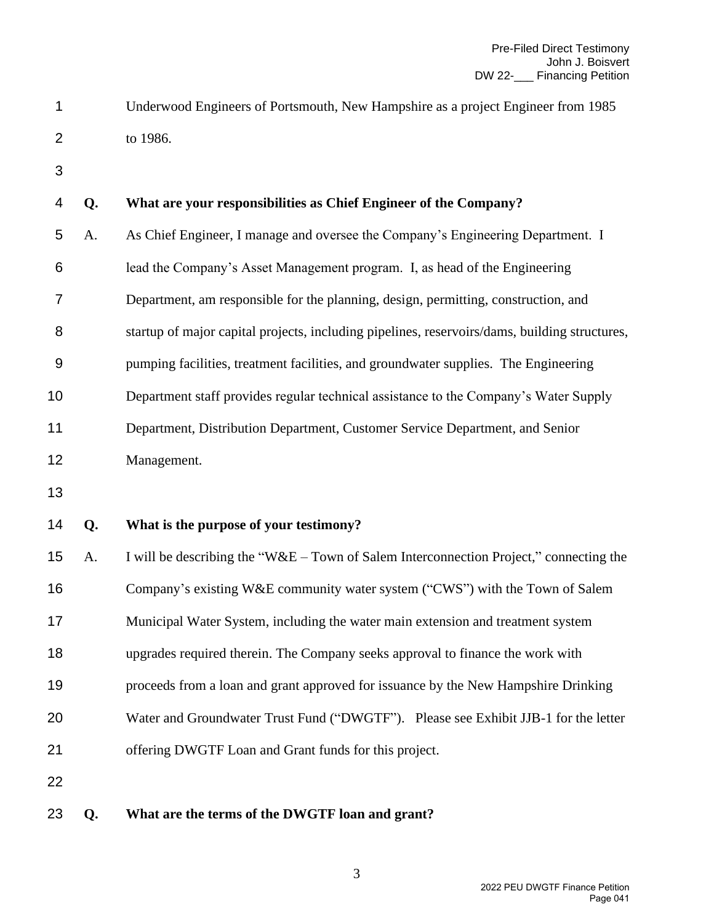- Underwood Engineers of Portsmouth, New Hampshire as a project Engineer from 1985 to 1986.
- 

| 4                | Q. | What are your responsibilities as Chief Engineer of the Company?                              |
|------------------|----|-----------------------------------------------------------------------------------------------|
| 5                | A. | As Chief Engineer, I manage and oversee the Company's Engineering Department. I               |
| 6                |    | lead the Company's Asset Management program. I, as head of the Engineering                    |
| 7                |    | Department, am responsible for the planning, design, permitting, construction, and            |
| 8                |    | startup of major capital projects, including pipelines, reservoirs/dams, building structures, |
| $\boldsymbol{9}$ |    | pumping facilities, treatment facilities, and groundwater supplies. The Engineering           |
| 10               |    | Department staff provides regular technical assistance to the Company's Water Supply          |
| 11               |    | Department, Distribution Department, Customer Service Department, and Senior                  |
| 12               |    | Management.                                                                                   |
| 13               |    |                                                                                               |
| 14               | Q. | What is the purpose of your testimony?                                                        |
| 15               | A. | I will be describing the "W&E – Town of Salem Interconnection Project," connecting the        |
| 16               |    | Company's existing W&E community water system ("CWS") with the Town of Salem                  |
| 17               |    | Municipal Water System, including the water main extension and treatment system               |
| 18               |    | upgrades required therein. The Company seeks approval to finance the work with                |
| 19               |    | proceeds from a loan and grant approved for issuance by the New Hampshire Drinking            |
| 20               |    | Water and Groundwater Trust Fund ("DWGTF"). Please see Exhibit JJB-1 for the letter           |
| 21               |    | offering DWGTF Loan and Grant funds for this project.                                         |
| 22               |    |                                                                                               |
| 23               | Q. | What are the terms of the DWGTF loan and grant?                                               |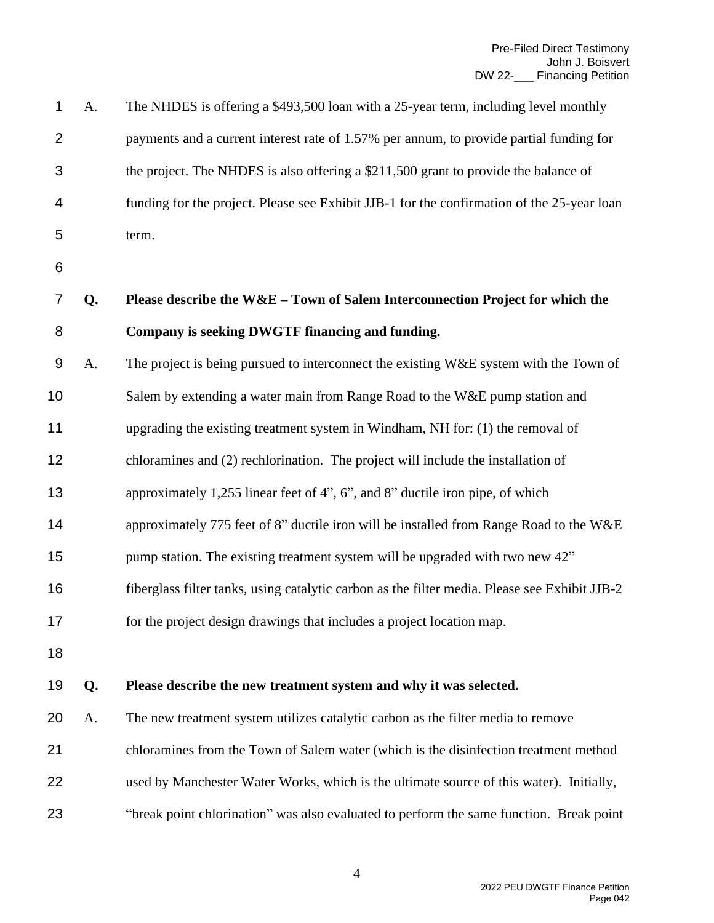| 1              | A. | The NHDES is offering a \$493,500 loan with a 25-year term, including level monthly           |
|----------------|----|-----------------------------------------------------------------------------------------------|
| $\overline{2}$ |    | payments and a current interest rate of 1.57% per annum, to provide partial funding for       |
| 3              |    | the project. The NHDES is also offering a \$211,500 grant to provide the balance of           |
| 4              |    | funding for the project. Please see Exhibit JJB-1 for the confirmation of the 25-year loan    |
| 5              |    | term.                                                                                         |
| 6              |    |                                                                                               |
| 7              | Q. | Please describe the $W&E-Town$ of Salem Interconnection Project for which the                 |
| 8              |    | Company is seeking DWGTF financing and funding.                                               |
| 9              | A. | The project is being pursued to interconnect the existing W&E system with the Town of         |
| 10             |    | Salem by extending a water main from Range Road to the W&E pump station and                   |
| 11             |    | upgrading the existing treatment system in Windham, NH for: (1) the removal of                |
| 12             |    | chloramines and (2) rechlorination. The project will include the installation of              |
| 13             |    | approximately 1,255 linear feet of 4", 6", and 8" ductile iron pipe, of which                 |
| 14             |    | approximately 775 feet of 8" ductile iron will be installed from Range Road to the W&E        |
| 15             |    | pump station. The existing treatment system will be upgraded with two new 42"                 |
| 16             |    | fiberglass filter tanks, using catalytic carbon as the filter media. Please see Exhibit JJB-2 |
| 17             |    | for the project design drawings that includes a project location map.                         |
| 18             |    |                                                                                               |
| 19             | Q. | Please describe the new treatment system and why it was selected.                             |
| 20             | A. | The new treatment system utilizes catalytic carbon as the filter media to remove              |
| 21             |    | chloramines from the Town of Salem water (which is the disinfection treatment method          |
| 22             |    | used by Manchester Water Works, which is the ultimate source of this water). Initially,       |
| 23             |    | "break point chlorination" was also evaluated to perform the same function. Break point       |
|                |    |                                                                                               |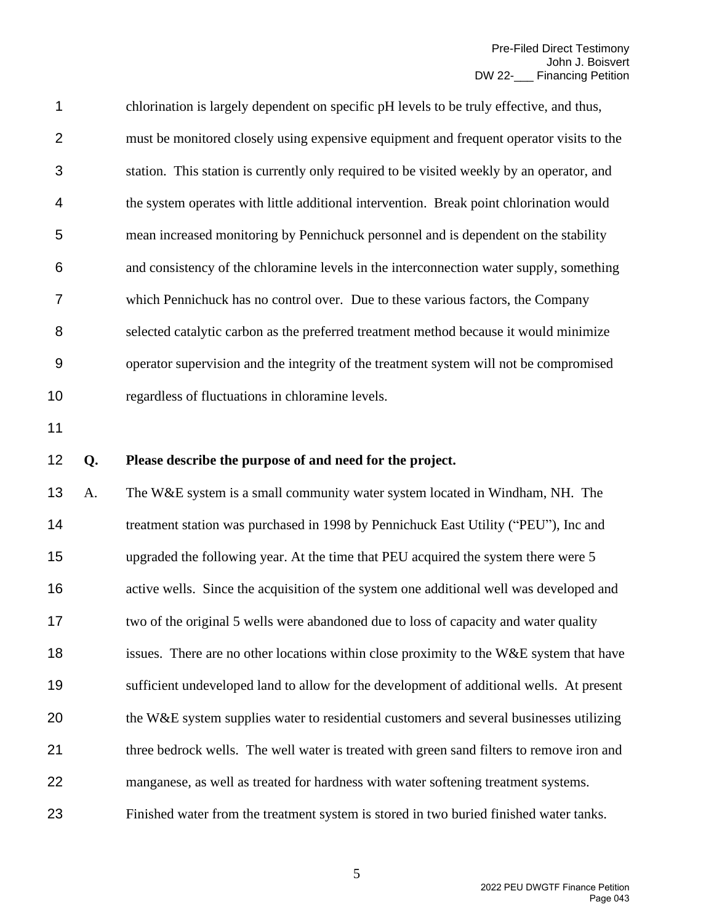chlorination is largely dependent on specific pH levels to be truly effective, and thus, must be monitored closely using expensive equipment and frequent operator visits to the station. This station is currently only required to be visited weekly by an operator, and the system operates with little additional intervention. Break point chlorination would mean increased monitoring by Pennichuck personnel and is dependent on the stability and consistency of the chloramine levels in the interconnection water supply, something which Pennichuck has no control over. Due to these various factors, the Company selected catalytic carbon as the preferred treatment method because it would minimize operator supervision and the integrity of the treatment system will not be compromised regardless of fluctuations in chloramine levels.

## **Q. Please describe the purpose of and need for the project.**

 A. The W&E system is a small community water system located in Windham, NH. The 14 treatment station was purchased in 1998 by Pennichuck East Utility ("PEU"), Inc and upgraded the following year. At the time that PEU acquired the system there were 5 16 active wells. Since the acquisition of the system one additional well was developed and two of the original 5 wells were abandoned due to loss of capacity and water quality 18 issues. There are no other locations within close proximity to the W&E system that have sufficient undeveloped land to allow for the development of additional wells. At present 20 the W&E system supplies water to residential customers and several businesses utilizing 21 three bedrock wells. The well water is treated with green sand filters to remove iron and manganese, as well as treated for hardness with water softening treatment systems. Finished water from the treatment system is stored in two buried finished water tanks.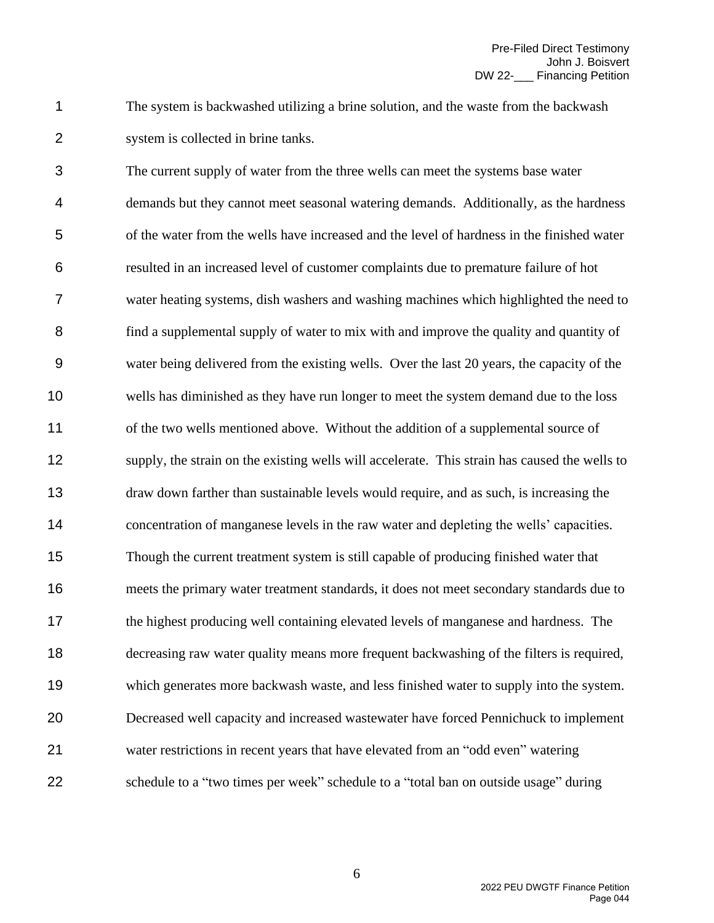The system is backwashed utilizing a brine solution, and the waste from the backwash system is collected in brine tanks.

 The current supply of water from the three wells can meet the systems base water demands but they cannot meet seasonal watering demands. Additionally, as the hardness of the water from the wells have increased and the level of hardness in the finished water resulted in an increased level of customer complaints due to premature failure of hot water heating systems, dish washers and washing machines which highlighted the need to find a supplemental supply of water to mix with and improve the quality and quantity of water being delivered from the existing wells. Over the last 20 years, the capacity of the wells has diminished as they have run longer to meet the system demand due to the loss of the two wells mentioned above. Without the addition of a supplemental source of supply, the strain on the existing wells will accelerate. This strain has caused the wells to draw down farther than sustainable levels would require, and as such, is increasing the concentration of manganese levels in the raw water and depleting the wells' capacities. Though the current treatment system is still capable of producing finished water that meets the primary water treatment standards, it does not meet secondary standards due to the highest producing well containing elevated levels of manganese and hardness. The decreasing raw water quality means more frequent backwashing of the filters is required, which generates more backwash waste, and less finished water to supply into the system. Decreased well capacity and increased wastewater have forced Pennichuck to implement water restrictions in recent years that have elevated from an "odd even" watering schedule to a "two times per week" schedule to a "total ban on outside usage" during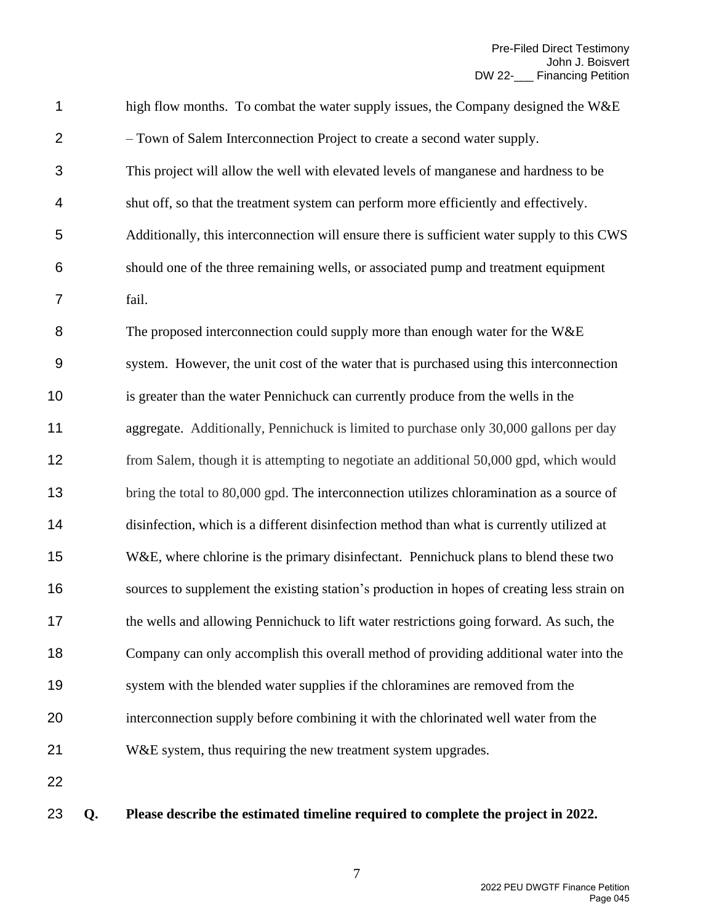| 1                |    | high flow months. To combat the water supply issues, the Company designed the W&E           |
|------------------|----|---------------------------------------------------------------------------------------------|
| $\overline{2}$   |    | - Town of Salem Interconnection Project to create a second water supply.                    |
| 3                |    | This project will allow the well with elevated levels of manganese and hardness to be       |
| 4                |    | shut off, so that the treatment system can perform more efficiently and effectively.        |
| 5                |    | Additionally, this interconnection will ensure there is sufficient water supply to this CWS |
| $\,6$            |    | should one of the three remaining wells, or associated pump and treatment equipment         |
| 7                |    | fail.                                                                                       |
| 8                |    | The proposed interconnection could supply more than enough water for the W&E                |
| $\boldsymbol{9}$ |    | system. However, the unit cost of the water that is purchased using this interconnection    |
| 10               |    | is greater than the water Pennichuck can currently produce from the wells in the            |
| 11               |    | aggregate. Additionally, Pennichuck is limited to purchase only 30,000 gallons per day      |
| 12               |    | from Salem, though it is attempting to negotiate an additional 50,000 gpd, which would      |
| 13               |    | bring the total to 80,000 gpd. The interconnection utilizes chloramination as a source of   |
| 14               |    | disinfection, which is a different disinfection method than what is currently utilized at   |
| 15               |    | W&E, where chlorine is the primary disinfectant. Pennichuck plans to blend these two        |
| 16               |    | sources to supplement the existing station's production in hopes of creating less strain on |
| 17               |    | the wells and allowing Pennichuck to lift water restrictions going forward. As such, the    |
| 18               |    | Company can only accomplish this overall method of providing additional water into the      |
| 19               |    | system with the blended water supplies if the chloramines are removed from the              |
| 20               |    | interconnection supply before combining it with the chlorinated well water from the         |
| 21               |    | W&E system, thus requiring the new treatment system upgrades.                               |
| 22               |    |                                                                                             |
| 23               | Q. | Please describe the estimated timeline required to complete the project in 2022.            |